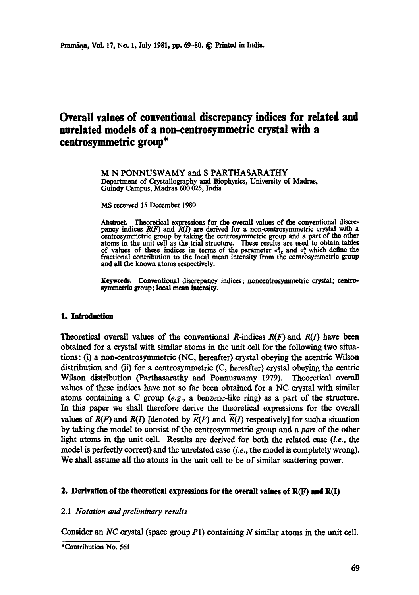# **Overall values of conventional discrepancy indices for related and unrelated models of a non-centrosymmetric crystal with a centrosymmetric group\***

M N PONNUSWAMY and S PARTHASARATHY Department of Crystallography and Biophysics, University of Madras, Guindy Campus, Madras 600 025, India

**MS received 15 December 1980** 

Abstract. Theoretical expressions for the overall values of the conventional discrepancy indices  $R(F)$  and  $R(I)$  are derived for a non-centrosymmetric crystal with a centrosymmetric group by taking the centrosymmetric group and a part of the other **atoms** in the unit cell as the trial structure. These results are used to obtain tables of values of these indices in terms of the parameter  $\sigma_{1c}^2$  and  $\sigma_1^2$  which define the fractional contribution to the local mean intensity from the centrosymmetric group and all the known atoms respectively.

**Keywords.** Conventional discrepancy indices; noncentrosymmetric crystal; centresymmetric group; local mean intensity.

#### **1. Introduction**

Theoretical overall values of the conventional R-indices  $R(F)$  and  $R(I)$  have been obtained for a crystal with similar atoms in the unit cell for the following two situations: (i) a non-centrosymmetric (NC, hereafter) crystal obeying the acentric Wilson distribution and (ii) for a centrosymmetric (C, hereafter) crystal obeying the centric Wilson distribution (Parthasarathy and Ponnuswamy 1979). Theoretical overall values of these indices have not so far been obtained for a NC crystal with similar atoms containing a C group *(e.g.,* a benzene-like ring) as a part of the structure. In this paper we shall therefore derive the theoretical expressions for the overall values of  $R(F)$  and  $R(I)$  [denoted by  $\overline{R}(F)$  and  $\overline{R}(I)$  respectively] for such a situation by taking the model to consist of the centrosymmetric group and a *part* of the other light atoms in the unit cell. Results are derived for both the related case *(i.e., the*  model is perfectly correct) and the unrelated case *(i.e.,* the model is completely wrong). We shall assume all the atoms in the unit cell to be of similar scattering power.

#### **2. Derivation of the theoretical expressions for the overall values of R(F) and R(I)**

### 2.1 *Notation and preliminary results*

Consider an *NC* crystal (space group P1) containing N similar atoms in the unit cell.

<sup>\*</sup>Contribution No. 561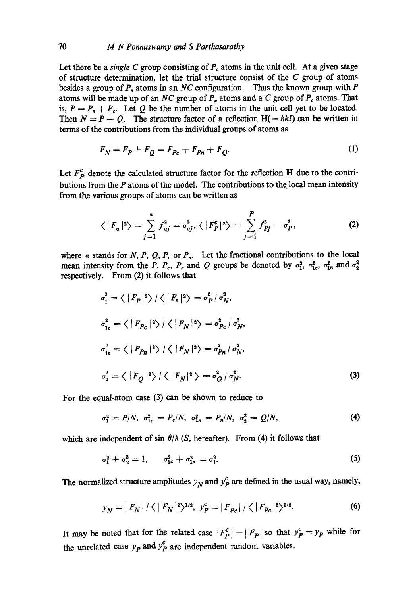Let there be a *single C* group consisting of  $P_c$  atoms in the unit cell. At a given stage of structure determination, let the trial structure consist of the  $C$  group of atoms besides a group of  $P_n$  atoms in an *NC* configuration. Thus the known group with  $P$ atoms will be made up of an *NC* group of  $P_n$  atoms and a C group of  $P_c$  atoms. That is,  $P = P_n + P_c$ . Let Q be the number of atoms in the unit cell yet to be located. Then  $N = P + Q$ . The structure factor of a reflection  $H(= h k l)$  can be written in terms of the contributions from the individual groups of atoms as

$$
F_N = F_P + F_Q = F_{Pc} + F_{Pn} + F_Q. \tag{1}
$$

Let  $F_{p}^{c}$  denote the calculated structure factor for the reflection H due to the contributions from the  $P$  atoms of the model. The contributions to the local mean intensity from the various groups of atoms can be written as

$$
\langle |F_a|^2 \rangle = \sum_{j=1}^a f_{aj}^2 = \sigma_{aj}^2, \langle |F_P^c|^2 \rangle = \sum_{j=1}^P f_{Pj}^2 = \sigma_P^2,
$$
 (2)

where a stands for N, P, Q,  $P_c$  or  $P_n$ . Let the fractional contributions to the local mean intensity from the P,  $P_c$ ,  $P_n$  and Q groups be denoted by  $\sigma_1^2$ ,  $\sigma_{1c}^2$ ,  $\sigma_{1n}^2$  and  $\sigma_2^2$ respectively. From (2) it follows that

$$
\sigma_1^2 = \langle |F_P|^2 \rangle / \langle |F_n|^2 \rangle = \sigma_P^2 / \sigma_N^2,
$$
  
\n
$$
\sigma_{1c}^2 = \langle |F_{P_C}|^2 \rangle / \langle |F_N|^2 \rangle = \sigma_{P_C}^2 / \sigma_N^2,
$$
  
\n
$$
\sigma_{1n}^2 = \langle |F_{P_B}|^2 \rangle / \langle |F_N|^2 \rangle = \sigma_{P_B}^2 / \sigma_N^2,
$$
  
\n
$$
\sigma_2^2 = \langle |F_Q|^2 \rangle / \langle |F_N|^2 \rangle = \sigma_Q^2 / \sigma_N^2.
$$
\n(3)

For the equal-atom case (3) can be shown to reduce to

$$
\sigma_1^2 = P/N, \ \sigma_{1c}^2 = P_c/N, \ \sigma_{1n}^2 = P_n/N, \ \sigma_2^2 = Q/N,
$$
 (4)

which are independent of sin  $\theta/\lambda$  (S, hereafter). From (4) it follows that

$$
\sigma_1^2 + \sigma_2^2 = 1, \qquad \sigma_{1c}^2 + \sigma_{1n}^2 = \sigma_1^2. \tag{5}
$$

The normalized structure amplitudes  $y_N$  and  $y_P^c$  are defined in the usual way, namely,

$$
y_N = |F_N| / \langle |F_N|^2 \rangle^{1/2}, \quad y_P^c = |F_{P_c}| / \langle |F_{P_c}|^2 \rangle^{1/2}.
$$
 (6)

It may be noted that for the related case  $|F_P^c| = |F_P|$  so that  $y_P^c = y_P$  while for the unrelated case  $y_p$  and  $y_p^c$  are independent random variables.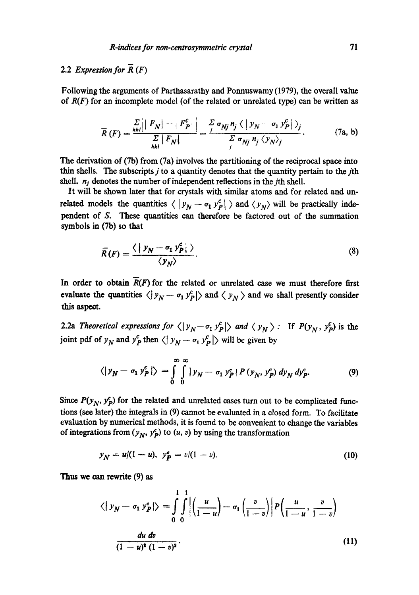## 2.2 *Expression for*  $\overline{R}(F)$

Following the arguments of Parthasarathy and Ponnuswamy (1979), the overall value of *R(F)* for an incomplete model (of the related or unrelated type) can be written as

$$
\overline{R}(F) = \frac{\sum\limits_{hkl} \left| \left| F_N \right| - \left| F_P^c \right| \right|}{\sum\limits_{hkl} \left| F_N \right|} = \frac{\sum\limits_j \sigma_{Nj} n_j \left\langle \left| y_N - \sigma_1 y_P^c \right| \right\rangle_j}{\sum\limits_j \sigma_{Nj} n_j \left\langle y_N \right\rangle_j}.
$$
 (7a, b)

The derivation of (7b) from (7a) involves the partitioning of the reciprocal space into thin shells. The subscripts  $j$  to a quantity denotes that the quantity pertain to the  $j$ th shell,  $n_i$  denotes the number of independent reflections in the *j*th shell.

It will be shown later that for crystals with similar atoms and for related and unrelated models the quantities  $\langle |y_N - \sigma_1 y_P^c| \rangle$  and  $\langle y_N \rangle$  will be practically independent of S. These quantities can therefore be factored out of the summation symbols in (7b) so that

$$
\overline{R}(F) = \frac{\langle \mid y_N - \sigma_1 \, y_P^e \mid \, \rangle}{\langle y_N \rangle}.
$$
\n(8)

In order to obtain  $\overline{R}(F)$  for the related or unrelated case we must therefore first evaluate the quantities  $\langle |y_N - \sigma_1 y_P^c| \rangle$  and  $\langle y_N \rangle$  and we shall presently consider this aspect.

2.2a Theoretical expressions for  $\langle |y_N - \sigma_1 y_P^c| \rangle$  and  $\langle y_N \rangle$ : If  $P(y_N, y_P^c)$  is the joint pdf of  $y_N$  and  $y_P^c$  then  $\langle y_N - \sigma_1 y_P^c \rangle$  will be given by

$$
\langle |y_N - \sigma_1 y_P^c| \rangle = \int_0^\infty \int_0^\infty |y_N - \sigma_1 y_P^c| P(y_N, y_P^c) dy_N dy_P^c. \tag{9}
$$

Since  $P(y_N, y_P^2)$  for the related and unrelated cases turn out to be complicated functions (see later) the integrals in (9) cannot be evaluated in a dosed form. To facilitate evaluation by numerical methods, it is found to be convenient to change the variables of integrations from  $(y_N, y_P^e)$  to  $(u, v)$  by using the transformation

$$
y_N = u/(1-u), \ \ y_P^c = v/(1-v). \tag{10}
$$

Thus we can rewrite (9) as

$$
\langle |y_N - \sigma_1 y_P^c| \rangle = \int_0^1 \int_0^1 \left| \left( \frac{u}{1-u} \right) - \sigma_1 \left( \frac{v}{1-v} \right) \right| P \left( \frac{u}{1-u}, \frac{v}{1-v} \right)
$$
  

$$
\frac{du dv}{(1-u)^2 (1-v)^2}.
$$
 (11)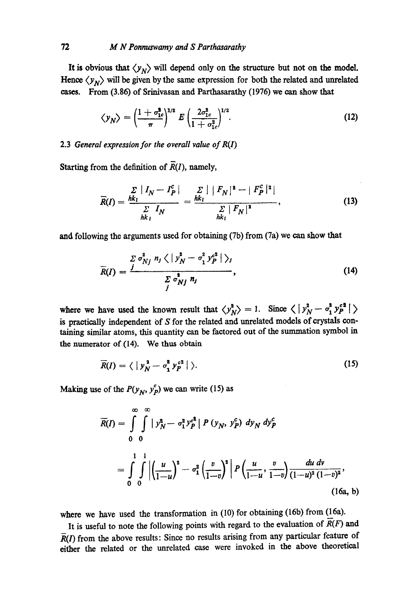It is obvious that  $\langle y_N \rangle$  will depend only on the structure but not on the model. Hence  $\langle y_N \rangle$  will be given by the same expression for both the related and unrelated eases. From (3.86) of Srinivasan and Parthasarathy (1976) we can show that

$$
\langle y_N \rangle = \left(\frac{1 + \sigma_{1c}^2}{\pi}\right)^{1/2} E \left(\frac{2\sigma_{1c}^2}{1 + \sigma_{1c}^2}\right)^{1/2}.
$$
 (12)

#### 2.3 *General expression for the overall value of R(1)*

Starting from the definition of  $\overline{R}(I)$ , namely,

$$
\overline{R}(I) = \frac{\sum_{hk_l} |I_N - I_P^c|}{\sum_{hk_l} I_N} = \frac{\sum_{hk_l} |F_N|^2 - |F_P^c|^2|}{\sum_{hk_l} |F_N|^2},
$$
\n(13)

and following the arguments used for obtaining (7b) from (7a) we can show that

$$
\overline{R}(I) = \frac{\sum \sigma_{Nj}^2 n_j \langle |y_N^2 - \sigma_1^2 y_P^{e^2} | \rangle_j}{\sum \sigma_{Nj}^2 n_j}, \qquad (14)
$$

where we have used the known result that  $\langle y_N^2 \rangle = 1$ . Since  $\langle y_N^2 - \sigma_1^2 y_P^{e^2} | \rangle$ is practically independent of  $S$  for the related and unrelated models of crystals containing similar atoms, this quantity can be factored out of the summation symbol in the numerator of (14). We thus obtain

$$
\overline{R}(I) = \langle \, | \, \mathbf{y}_N^2 - \sigma_1^2 \, \mathbf{y}_P^{c^2} \, | \, \rangle. \tag{15}
$$

Making use of the  $P(y_N, y_P^c)$  we can write (15) as

$$
\overline{R}(I) = \int_{0}^{\infty} \int_{0}^{\infty} |y_N^2 - \sigma_1^2 y_P^{c^2}| P(y_N, y_P^c) dy_N dy_P^c
$$
  
= 
$$
\int_{0}^{1} \int_{0}^{1} \left| \left( \frac{u}{1-u} \right)^2 - \sigma_1^2 \left( \frac{v}{1-v} \right)^2 \right| P\left( \frac{u}{1-u}, \frac{v}{1-v} \right) \frac{du}{(1-u)^2 (1-v)^2},
$$
  
(16a, b)

where we have used the transformation in  $(10)$  for obtaining (16b) from (16a).

It is useful to note the following points with regard to the evaluation of  $\overline{R}(F)$  and  $R(I)$  from the above results: Since no results arising from any particular feature of either the related or the unrelated case were invoked in the above theoretical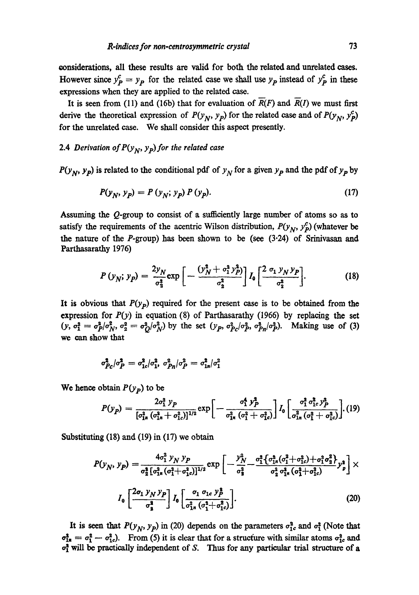eonsidcrations, all these results arc valid for both the related and unrelated cases. However since  $y_p^c = y_p$  for the related case we shall use  $y_p$  instead of  $y_p^c$  in these expressions when they are applied to the related case.

It is seen from (11) and (16b) that for evaluation of  $\overline{R}(F)$  and  $\overline{R}(I)$  we must first derive the theoretical expression of  $P(y_N, y_p)$  for the related case and of  $P(y_N, y_p^c)$ for the unrelated case. We shall consider this aspect presently.

### 2.4 *Derivation of*  $P(y_N, y_p)$  *for the related case*

 $P(y_N, y_p)$  is related to the conditional pdf of  $y_N$  for a given  $y_p$  and the pdf of  $y_p$  by

$$
P(y_N, y_p) = P(y_N; y_p) P(y_p).
$$
 (17)

Assuming the Q-group to consist of a safficiently large number of atoms so as to satisfy the requirements of the acentric Wilson distribution,  $P(y_N, y_P^c)$  (whatever be the nature of the  $P$ -group) has been shown to be (see  $(3.24)$  of Srinivasan and Parthasarathy 1976)

$$
P(y_N; y_P) = \frac{2y_N}{\sigma_2^2} \exp\left[-\frac{(y_N^2 + \sigma_1^2 y_P^2)}{\sigma_2^2}\right] I_0 \left[\frac{2 \sigma_1 y_N y_P}{\sigma_2^2}\right].
$$
 (18)

It is obvious that  $P(y_p)$  required for the present case is to be obtained from the expression for  $P(y)$  in equation (8) of Parthasarathy (1966) by replacing the set  $(y, \sigma_1^2 = \sigma_p^2/\sigma_N^2, \sigma_2^2 = \sigma_0^2/\sigma_N^2)$  by the set  $(y_p, \sigma_{p_c}^2/\sigma_p^2, \sigma_{p_h}^2/\sigma_p^2)$ . Making use of (3) we can show that

$$
\sigma_{P\mathcal{C}}^2/\sigma_P^2 = \sigma_{1\mathcal{c}}^2/\sigma_{1\mathcal{V}}^2 \ \sigma_{P\mathcal{H}}^2/\sigma_P^2 = \sigma_{1\mathcal{R}}^2/\sigma_1^2
$$

We hence obtain  $P(y_p)$  to be

$$
P(y_P) = \frac{2\sigma_1^2 y_P}{[\sigma_{1n}^2 (\sigma_{1n}^2 + \sigma_{1c}^2)]^{1/2}} \exp\bigg[-\frac{\sigma_1^4 y_P^2}{\sigma_{1n}^2 (\sigma_1^2 + \sigma_{1c}^2)}\bigg] I_0 \bigg[\frac{\sigma_1^2 \sigma_{1c}^2 y_P^2}{\sigma_{1n}^2 (\sigma_1^2 + \sigma_{1c}^2)}\bigg]. (19)
$$

Substituting (18) and (19) in (17) we obtain

$$
P(y_N, y_P) = \frac{4\sigma_1^2 y_N y_P}{\sigma_2^2 [\sigma_{1n}^2 (\sigma_1^2 + \sigma_{1c}^2)]^{1/2}} \exp\left[-\frac{y_N^2}{\sigma_2^2} - \frac{\sigma_1^2 \{\sigma_{1n}^2 (\sigma_1^2 + \sigma_{1c}^2) + \sigma_1^2 \sigma_2^2\}}{\sigma_2^2 \sigma_{1n}^2 (\sigma_1^2 + \sigma_{1c}^2)} y_P^2\right] \times
$$
  

$$
I_0 \left[\frac{2\sigma_1 y_N y_P}{\sigma_2^2}\right] I_0 \left[\frac{\sigma_1 \sigma_{1c} y_P^2}{\sigma_{1n}^2 (\sigma_1^2 + \sigma_{1c}^2)}\right].
$$
 (20)

It is seen that  $P(y_N, y_p)$  in (20) depends on the parameters  $\sigma_{1c}^2$  and  $\sigma_1^2$  (Note that  $\sigma_{1x}^2 = \sigma_1^2 - \sigma_{1c}^2$ . From (5) it is clear that for a structure with similar atoms  $\sigma_{1c}^2$  and  $\sigma_1^2$  will be practically independent of S. Thus for any particular trial structure of a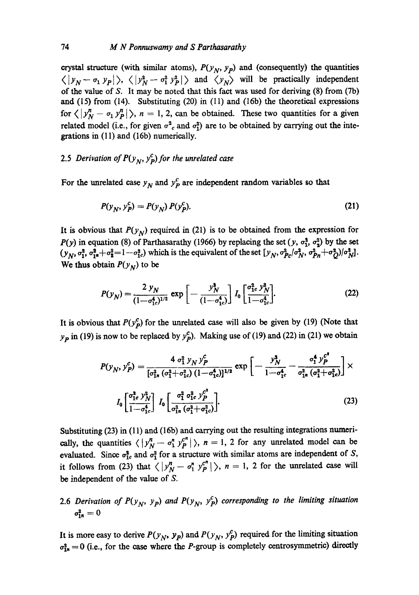crystal structure (with similar atoms),  $P(y_N, y_p)$  and (consequently) the quantities  $\langle |y_N - \sigma_1|y_P| \rangle$ ,  $\langle |y_N^2 - \sigma_1^2|y_P^2| \rangle$  and  $\langle y_N \rangle$  will be practically independent of the value of S. It may be noted that this fact was used for deriving (8) from (7b) and (15) from (14). Substituting (20) in (11) and (16b) the theoretical expressions for  $\langle |y_N^n - \sigma_1 y_P^n| \rangle$ ,  $n = 1, 2$ , can be obtained. These two quantities for a given related model (i.e., for given  $\sigma^2_c$  and  $\sigma_1^2$ ) are to be obtained by carrying out the integrations in (11) and (16b) numerically.

## 2.5 *Derivation of*  $P(y_N, y_P^c)$  *for the unrelated case*

For the unrelated case  $y_N$  and  $y_P^c$  are independent random variables so that

$$
P(y_N, y_P^c) = P(y_N) P(y_P^c).
$$
 (21)

It is obvious that  $P(y_N)$  required in (21) is to be obtained from the expression for *P(y)* in equation (8) of Parthasarathy (1966) by replacing the set (y,  $\sigma_1^2$ ,  $\sigma_2^2$ ) by the set  $(y_N, \sigma_1^2, \sigma_{1^*}^2 + \sigma_2^2 = 1 - \sigma_{1c}^2)$  which is the equivalent of the set  $(y_N, \sigma_{Pc}^2/\sigma_N^2, \sigma_{Pn}^2 + \sigma_0^2)/\sigma_N^2$ . We thus obtain  $P(y_N)$  to be

$$
P(y_N) = \frac{2 y_N}{(1 - \sigma_{1c}^4)^{1/2}} \exp \left[ - \frac{y_N^2}{(1 - \sigma_{1c}^4)} \right] I_0 \left[ \frac{\sigma_{1c}^2 y_N^2}{1 - \sigma_{1c}^4} \right].
$$
 (22)

It is obvious that  $P(y_p^c)$  for the unrelated case will also be given by (19) (Note that  $y_{p}$  in (19) is now to be replaced by  $y_{p}^{c}$ . Making use of (19) and (22) in (21) we obtain

$$
P(y_N, y_P^c) = \frac{4 \sigma_1^2 y_N y_P^c}{[\sigma_{1n}^2 (\sigma_1^2 + \sigma_{1c}^2) (1 - \sigma_{1c}^4)]^{1/2}} \exp\left[-\frac{y_N^2}{1 - \sigma_{1c}^4} - \frac{\sigma_1^4 y_P^c}{\sigma_{1n}^2 (\sigma_1^2 + \sigma_{1c}^2)}\right] \times
$$

$$
I_0 \left[\frac{\sigma_1^2 c y_N^2}{1 - \sigma_{1c}^4}\right] I_0 \left[\frac{\sigma_1^2 \sigma_1^2 c y_P^c}{\sigma_{1n}^2 (\sigma_1^2 + \sigma_{1c}^2)}\right].
$$
(23)

Substituting (23) in (11) and (16b) and carrying out the resulting integrations numerically, the quantities  $\langle |y_N^n - \sigma_1^n y_P^{c^n} | \rangle$ ,  $n = 1, 2$  for any unrelated model can be evaluated. Since  $\sigma_{1c}^2$  and  $\sigma_1^2$  for a structure with similar atoms are independent of S, it follows from (23) that  $\langle |y_N^n - \sigma_1^n y_P^{n}| \rangle$ ,  $n = 1$ , 2 for the unrelated case will be independent of the value of **S.** 

2.6 *Derivation of P(y<sub>N</sub>, y<sub>p</sub>) and P(y<sub>N</sub>, y<sub>p</sub>) corresponding to the limiting situation*  $\sigma_{1n}^2 = 0$ 

It is more easy to derive  $P(y_N, y_p)$  and  $P(y_N, y_p^c)$  required for the limiting situation  $\sigma_{1n}^2 = 0$  (i.e., for the case where the *P*-group is completely centrosymmetric) directly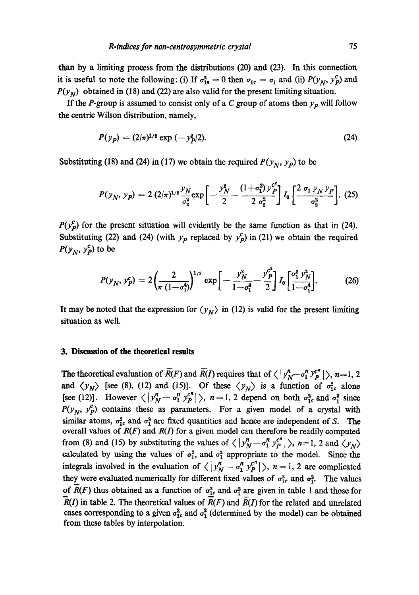than by a limiting process from the distributions (20) and (23). In this connection it is useful to note the following: (i) If  $\sigma_{1n}^2 = 0$  then  $\sigma_{1c} = \sigma_1$  and (ii)  $P(y_N, y_P^c)$  and  $P(y_N)$  obtained in (18) and (22) are also valid for the present limiting situation.

If the P-group is assumed to consist only of a C group of atoms then  $y_p$  will follow the eentric Wilson distribution, namely,

$$
P(y_p) = (2/\pi)^{1/2} \exp(-y_p^2/2). \tag{24}
$$

Substituting (18) and (24) in (17) we obtain the required  $P(y_N, y_p)$  to be

$$
P(y_N, y_P) = 2 (2/\pi)^{1/2} \frac{y_N}{\sigma_2^2} \exp \left[ -\frac{y_N^2}{2} - \frac{(1+\sigma_1^2) y_P^{c^2}}{2 \sigma_2^2} \right] I_0 \left[ \frac{2 \sigma_1 y_N y_P}{\sigma_2^2} \right]. \tag{25}
$$

 $P(y_p^c)$  for the present situation will evidently be the same function as that in (24). Substituting (22) and (24) (with  $y_p$  replaced by  $y_p^c$ ) in (21) we obtain the required  $P(y_N, y_P^c)$  to be

$$
P(y_N, y_P^c) = 2\left(\frac{2}{\pi (1-\sigma_1^4)}\right)^{1/2} \exp\left[-\frac{y_N^2}{1-\sigma_1^4} - \frac{y_P^{c^2}}{2}\right] I_0 \left[\frac{\sigma_1^2 y_N^2}{1-\sigma_1^4}\right].
$$
 (26)

It may be noted that the expression for  $\langle y_N \rangle$  in (12) is valid for the present limiting situation as well.

#### **3. Discussion of the theoretical results**

The theoretical evaluation of  $\overline{R}(F)$  and  $\overline{R}(I)$  requires that of  $\langle |y_N^n - \sigma_1^n y_P^{c^n}| \rangle$ , n=1, 2 and  $\langle y_N \rangle$  [see (8), (12) and (15)]. Of these  $\langle y_N \rangle$  is a function of  $\sigma_{1c}^2$  alone [see (12)]. However  $\langle |y_N^n - \sigma_1^n y_P^{c^n}| \rangle$ ,  $n = 1, 2$  depend on both  $\sigma_1^2$  and  $\sigma_1^2$  since  $P(y_N, y_P^c)$  contains these as parameters. For a given model of a crystal with similar atoms,  $\sigma_{1c}^2$  and  $\sigma_1^2$  are fixed quantities and hence are independent of S. The overall values of  $R(F)$  and  $R(I)$  for a given model can therefore be readily computed from (8) and (15) by substituting the values of  $\langle |y_N^n - a_1^n y_P^{c^n}| \rangle$ , n=1, 2 and  $\langle y_N \rangle$ calculated by using the values of  $\sigma_{1c}^2$  and  $\sigma_1^2$  appropriate to the model. Since the integrals involved in the evaluation of  $\langle |y_N^n - \sigma_1^n y_P^{c^n}| \rangle$ ,  $n = 1, 2$  are complicated they were evaluated numerically for different fixed values of  $\sigma_{1c}^2$  and  $\sigma_{1c}^2$ . The values of  $\overline{R}(F)$  thus obtained as a function of  $\sigma_{1c}^2$  and  $\sigma_1^2$  are given in table 1 and those for  $R(I)$  in table 2. The theoretical values of  $R(F)$  and  $R(I)$  for the related and unrelated cases corresponding to a given  $\sigma_{1c}^2$  and  $\sigma_1^2$  (determined by the model) can be obtained from these tables by interpolation.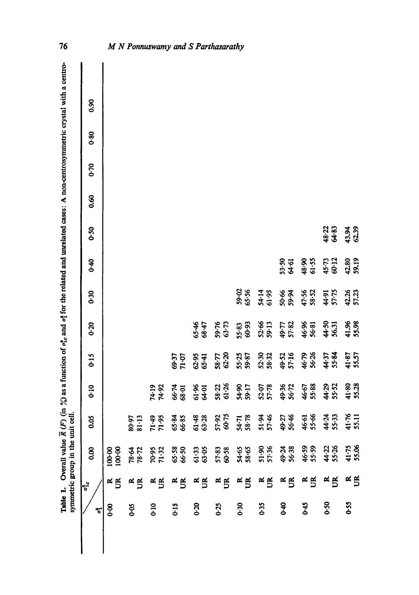Overall value  $\bar{R}(F)$  (in %) as a function of  $\sigma_t^2$  and  $\sigma_t^2$  for the related and unrelated cases: A non-centrosymmetric crystal with a centro-Table 1. Overall value  $R(F)$  (in  $\%$ ) as a function of  $\sigma_k^2$  and  $\sigma_k^2$  for the related and unrelated cases: A non-centrosymmetric crystal with a centro-Table 1.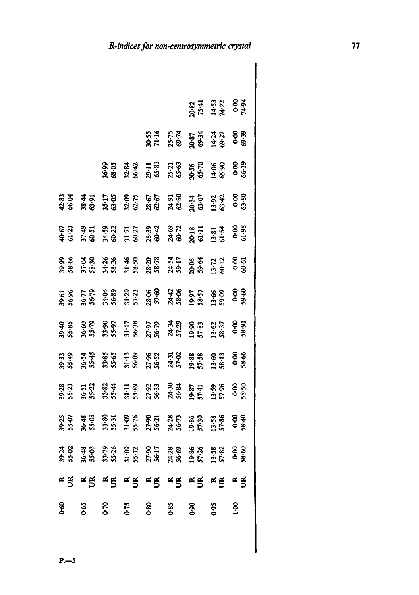|             |      |      |      |      |                                                                                                                                                                                                                                |            | 20.82<br>75.41<br>14.53<br>0.00<br>0.454 |               |
|-------------|------|------|------|------|--------------------------------------------------------------------------------------------------------------------------------------------------------------------------------------------------------------------------------|------------|------------------------------------------|---------------|
|             |      |      |      |      | <b>3535 365 365 366</b><br><b>355 366 366 366</b><br><b>365 366 366</b>                                                                                                                                                        |            |                                          |               |
|             |      |      |      |      | \$\$ \$\$ 13 53 66 66<br>\$\$ \$\$ 13 53 66 66<br>\$\$ \$\$ 36 66 16 66                                                                                                                                                        |            |                                          |               |
|             |      |      |      |      | 83 45 12 86 66 58 76 878 88<br>83 45 12 86 66 58 76 878 88                                                                                                                                                                     |            |                                          |               |
|             |      |      |      |      | ଢ଼ି ଶ୍ୱା କୁମ୍ବ ଶ୍ୱା କୁମ୍ବ କୁମ୍ବ କୁମ୍ବ କୁମ୍ବ କୁମ୍ବ କୁମ୍ବ କୁମ୍ବ କୁମ୍ବ କୁମ୍ବ କୁମ୍ବ କୁମ୍ବ କୁମ୍ବ କୁମ୍ବ କୁମ୍ବ କୁମ୍ବ<br>କୁପ ନକ୍ତ କୁମ୍ବ କୁମ୍ବ କୁମ୍ବ କୁମ୍ବ କୁମ୍ବ କୁମ୍ବ କୁମ୍ବ କୁମ୍ବ କୁମ୍ବ କୁମ୍ବ କୁମ୍ବ କୁମ୍ବ କୁମ୍ବ କୁମ୍ବ କୁମ୍ବ କୁମ୍ବ କୁମ୍ |            |                                          |               |
|             |      |      |      |      | ଛୁଞ ඡଳ ଶ୍ୱ ¥ୁଛ ଛୁଙ୍କ ସୁ⊡ ୫ୁଞ ମୁମ ୫ୁଞ<br>ଛୁଞ କୁଞ କୁଞ କୁଞ ଛୁଞ ଛୁଞ କୁଞ କୁଞ କୁଞ                                                                                                                                                    |            |                                          |               |
|             |      |      |      |      | 58 FP 32 AN 33 43 55 33 33<br>28 28 38 39 50 36 37 38 5                                                                                                                                                                        |            |                                          |               |
|             |      |      |      |      |                                                                                                                                                                                                                                |            |                                          |               |
|             |      |      |      |      | <b>អង្គ និង គីទី និង គីទី និង ទីដី ទី៩</b><br>ដឹង និង ដឹង ដឹង ដឹង ដូង គីទី ដឹង ទី៥                                                                                                                                             |            |                                          |               |
|             |      |      |      |      |                                                                                                                                                                                                                                |            |                                          |               |
|             |      |      |      |      | 85 \$8 \$5 \$6 \$6 \$6 \$6 \$6 \$6 \$6<br>\$6 \$6 \$6 \$6 \$6 \$6 \$6 \$6 \$6 \$6                                                                                                                                              |            |                                          | 0.80          |
|             |      |      |      |      |                                                                                                                                                                                                                                |            |                                          |               |
|             |      |      |      |      | x 5 x 5 x 5 x 5 x 5 x 5 x 5 x 5 x 5                                                                                                                                                                                            |            |                                          |               |
| <b>8-60</b> | 0-65 | 0.70 | 0.75 | 0.80 | 0.85                                                                                                                                                                                                                           | <u>କ୍ଟ</u> | 0.95                                     | $\frac{8}{1}$ |
|             |      |      |      |      |                                                                                                                                                                                                                                |            |                                          |               |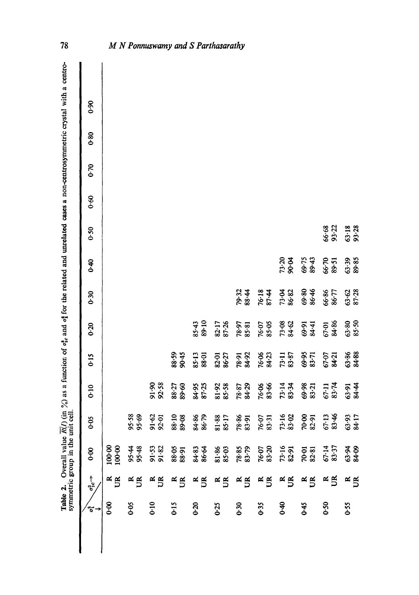|                                   | 8.0                           |                     |                |                    |                    |                    |                    |                  |                |                    |                    |                  |                         |
|-----------------------------------|-------------------------------|---------------------|----------------|--------------------|--------------------|--------------------|--------------------|------------------|----------------|--------------------|--------------------|------------------|-------------------------|
|                                   | 0.80                          |                     |                |                    |                    |                    |                    |                  |                |                    |                    |                  |                         |
|                                   | $0 - 70$                      |                     |                |                    |                    |                    |                    |                  |                |                    |                    |                  |                         |
|                                   | 0.60                          |                     |                |                    |                    |                    |                    |                  |                |                    |                    |                  |                         |
|                                   | 0.50                          |                     |                |                    |                    |                    |                    |                  |                |                    |                    |                  | 66.33<br>65.33<br>65.33 |
|                                   | $6 - 40$                      |                     |                |                    |                    |                    |                    |                  |                | 73-20<br>90-04     | 69-75<br>89-43     | 66-70<br>89-51   | 63-39<br>89-85          |
|                                   | 0.30                          |                     |                |                    |                    |                    |                    | 79.32<br>88.44   | 76.18<br>87.44 | 73.04<br>86.82     | 69.80<br>86.46     | 66.86<br>86.77   | $63 - 62$<br>87-28      |
|                                   | $0 - 20$                      |                     |                |                    |                    | 85.43<br>89.10     | 82.17<br>87.26     | $78.97$<br>85.81 | 76-07<br>85-05 | 73-08<br>84-62     | 69-91<br>84-41     | 67.01<br>84.86   | $63.80$<br>85.50        |
|                                   | 0.15                          |                     |                |                    | 88.59<br>90.45     | 85-13<br>88-01     | 82-01<br>86-27     | 78.91<br>84.92   | 76.06<br>84.23 | $73.11$<br>83.87   | 69-95<br>83-71     | 67-07<br>84-21   | $63.86$<br>84.88        |
|                                   | 0.10                          |                     |                | 91.90<br>92.58     | 88.27<br>89.60     | 84.95<br>87.25     | 81.92<br>85.58     | 78.87<br>84.29   | 76.06<br>83.66 | 73-14<br>83-34     | $69.98$<br>$83.21$ | 67.11<br>83.74   | 63.44<br>84.44          |
|                                   | 0.05                          |                     | 95.58<br>95.69 | $91.62$<br>$92.01$ | 88-10<br>89-08     | 84.86<br>86.79     | $81.88$<br>$85.17$ | $78.86$<br>83.91 | 76.07<br>83-31 | $73.16$<br>83.02   | 70.00<br>82.91     | $67.13$<br>83.46 | 63-93<br>84-17          |
| symmetric group in the unit cell. | 8<br>0.6                      | 100.00<br>100.00    | 95.48<br>95.48 | 91.53<br>91.82     | 88.91<br>88.91     | 84.83<br>86.64     | $81.86$<br>$85.18$ | 78.85<br>83.79   | 76.07<br>83.20 | $73.16$<br>82.91   | 70.01<br>82.81     | 67.14<br>83.37   | 63.94<br>84.09          |
|                                   | $\sigma_{1c}^{2} \rightarrow$ | $\approx$ $\approx$ | $\mathbb{R}$   | $\frac{1}{2}$      | $\frac{\alpha}{5}$ | $\frac{\alpha}{5}$ | $\frac{\alpha}{D}$ | $\mathbb{R}$     | $R_{S}$        | $\frac{\alpha}{D}$ | $\frac{1}{5}$      | R                | $R_{\rm B}$             |
|                                   | م.<br>5                       | 8-0                 | 0.05           | 0:10               | <b>Cio</b>         | 0.20               | 0.25               | 0.30             | 0.35           | ¥°                 | 3.45               | 0.50             | 0.55                    |

Table 2. Overall value  $R(I)$  (in  $\%$ ) as a function of  $\sigma_t^2$  and  $\sigma_t^2$  for the related and unrelated cases a non-centrosymmetric crystal with a centro-Table 2. Overall value  $\overline{R}(I)$  (in  $\%$ ) as a function of  $\sigma_{\text{L}}^2$  and  $\sigma_{\text{L}}^2$  for the related and unrelated cases a non-centrosymmetric crystal with a centro-<br>Table 2. Overall value  $\overline{R}(I)$  (in  $\%$ ) as a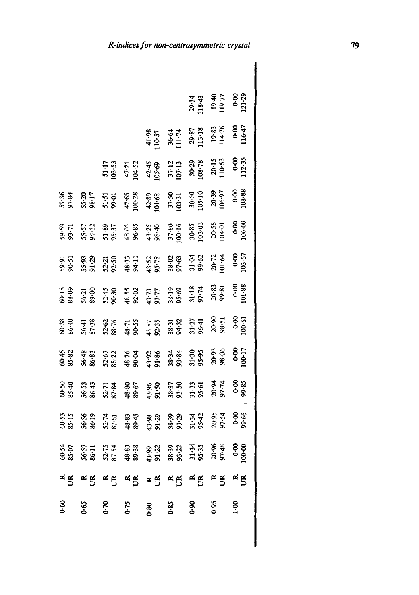|                |                |                                                                                                                                                                                                                                                                                |          |                |                                                                                                                                                                                                                                |                                    | 29.34<br>118.43<br>119.77<br>119.77<br>0.00<br>121.29 |                     |
|----------------|----------------|--------------------------------------------------------------------------------------------------------------------------------------------------------------------------------------------------------------------------------------------------------------------------------|----------|----------------|--------------------------------------------------------------------------------------------------------------------------------------------------------------------------------------------------------------------------------|------------------------------------|-------------------------------------------------------|---------------------|
|                |                |                                                                                                                                                                                                                                                                                |          | 41.98<br>10-57 |                                                                                                                                                                                                                                | $36.64$<br>11.74<br>29.87<br>13.18 | $19.83$<br>114.76<br>0.00<br>116.47                   |                     |
|                |                | $51.17$<br>$03.53$                                                                                                                                                                                                                                                             |          |                | $47.21$<br>104.52<br>105.69<br>105.69<br>107.12<br>108.78<br>108.78                                                                                                                                                            |                                    | $20.15$<br>110.53                                     | $0.00$<br>112-35    |
| 59.36<br>97.84 |                | $55.20$<br>$55.75$<br>$55.75$<br>$55.75$<br>$55.75$<br>$55.75$<br>$55.75$<br>$55.75$<br>$55.75$<br>$55.75$<br>$55.75$<br>$55.75$<br>$55.75$<br>$55.75$<br>$55.75$<br>$55.75$<br>$55.75$<br>$55.75$<br>$55.75$<br>$55.75$<br>$55.75$<br>$55.75$<br>$55.75$<br>$55.75$<br>$55.7$ |          |                |                                                                                                                                                                                                                                |                                    |                                                       | 0.0000              |
| 59.59<br>93.71 |                | 5.51 \$ 5.62 \$ 5.62 \$ 5.62 \$ 5.62 \$ 6.62 \$ 6.62 \$ 6.62 \$ 6.62 \$ 6.62 \$ 6.62 \$ 6.62 \$ 6.62 \$ 6.62 \$ 6.62 \$ 6.62<br>5.63 \$ 6.62 \$ 6.62 \$ 6.62 \$ 6.62 \$ 6.62 \$ 6.62 \$ 6.62 \$ 6.62 \$ 6.62 \$ 6.62 \$ 6.62 \$ 6.62 \$ 6.62 \$ 6.62 \$ 6.62                   |          |                |                                                                                                                                                                                                                                |                                    | 20-58<br>104-01                                       | $0.90$<br>06.00     |
| 59.91<br>90-51 | 55-93<br>91-29 |                                                                                                                                                                                                                                                                                |          |                | 5256<br>535677788886778<br>535888885788800                                                                                                                                                                                     |                                    |                                                       | $0.60$<br>03.67     |
| 60-18<br>88-09 |                |                                                                                                                                                                                                                                                                                |          |                |                                                                                                                                                                                                                                |                                    |                                                       | 0.0000              |
|                |                |                                                                                                                                                                                                                                                                                |          |                |                                                                                                                                                                                                                                |                                    |                                                       | $0.00$<br>00.61     |
| 60.45<br>85.82 | 56-48<br>86-83 |                                                                                                                                                                                                                                                                                |          |                | <b>GH KS SE FR SE SE SE</b><br>GE FR SE SE FR SE SE SE<br>GE FR SE FR SE SE SE SE                                                                                                                                              |                                    |                                                       |                     |
| 60-50<br>85-40 | 56-53<br>86-43 |                                                                                                                                                                                                                                                                                |          |                | <b>1222</b> 362 363 363 364 365 368<br>222 362 363 365 366 366 366<br>232 365 366 373 386 386                                                                                                                                  |                                    |                                                       |                     |
| 60-53<br>85-15 | 56-56<br>86-19 |                                                                                                                                                                                                                                                                                |          |                | $7.70$ $3.89$ $3.89$ $3.89$ $3.89$ $3.89$ $3.89$ $3.89$ $3.89$ $3.89$ $3.89$ $3.89$ $3.89$ $3.89$ $3.89$ $3.89$ $3.89$ $3.89$ $3.89$ $3.89$ $3.89$ $3.89$ $3.89$ $3.89$ $3.89$ $3.89$ $3.89$ $3.89$ $3.89$ $3.89$ $3.89$ $3.8$ |                                    |                                                       |                     |
| 60.54<br>85.07 | 56.57<br>86.11 |                                                                                                                                                                                                                                                                                |          |                |                                                                                                                                                                                                                                |                                    |                                                       | 0.001               |
|                |                | KE KE KE KE KE KE KE KE                                                                                                                                                                                                                                                        |          |                |                                                                                                                                                                                                                                |                                    |                                                       | $\approx$ $\approx$ |
| <b>8-60</b>    | $0 - 65$       | $0 - 70$                                                                                                                                                                                                                                                                       | $0 - 75$ | 0.80           | 0.85                                                                                                                                                                                                                           | 8.90                               | 0.95                                                  | $rac{8}{1}$         |